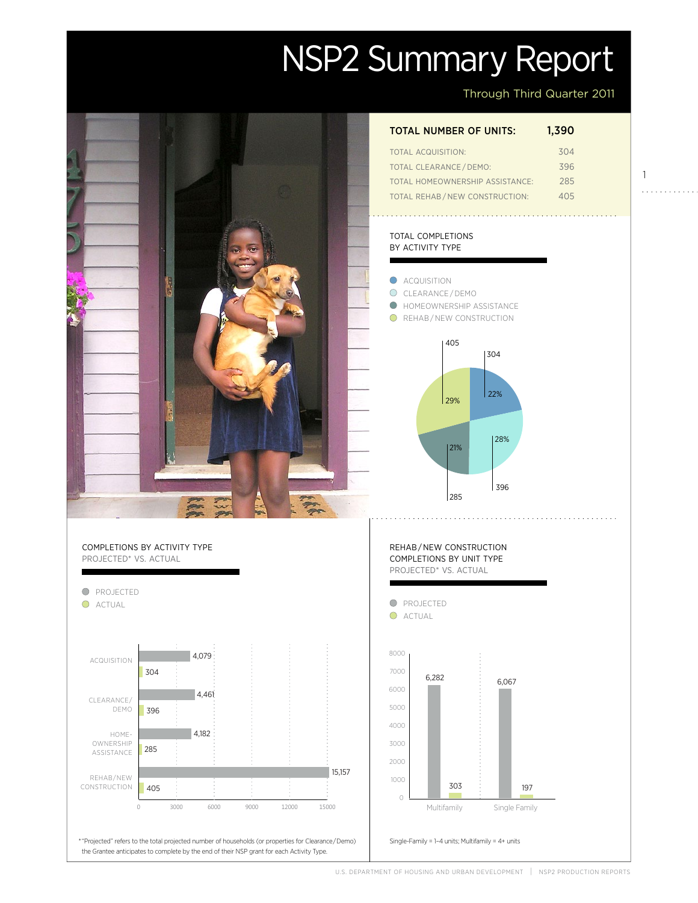# NSP2 Summary Report

Through Third Quarter 2011

1

. . . . . . . . . . . .

| <b>TOTAL NUMBER OF UNITS:</b> | 1,390 |
|-------------------------------|-------|
| TOTAL ACQUISITION'            | 304   |
| <b>TOTAL CLEARANCE/DEMO:</b>  | 396   |

total homeownership assistance: 285 Total Rehab / new construction: 405

#### total completions by activity type



## \* "Projected" refers to the total projected number of households (or properties for Clearance / Demo) Single-Family = 1–4 units; Multifamily = 4+ units the Grantee anticipates to complete by the end of their NSP grant for each Activity Type.

150

completions by activity type projected\* vs. actual

**O** PROJECTED O ACTUAL Acquisition clearance/ demo Homeownership ASSISTANCE Rehab/New **CONSTRUCTION** 4,079 304 285 396 4,079 4,182 405 4,461 0 3000 6000 9000 12000 15000

U.S. DEPARTMENT OF HOUSING AND URBAN DEVELOPMENT | NSP2 PRODUCTION REPORTS

197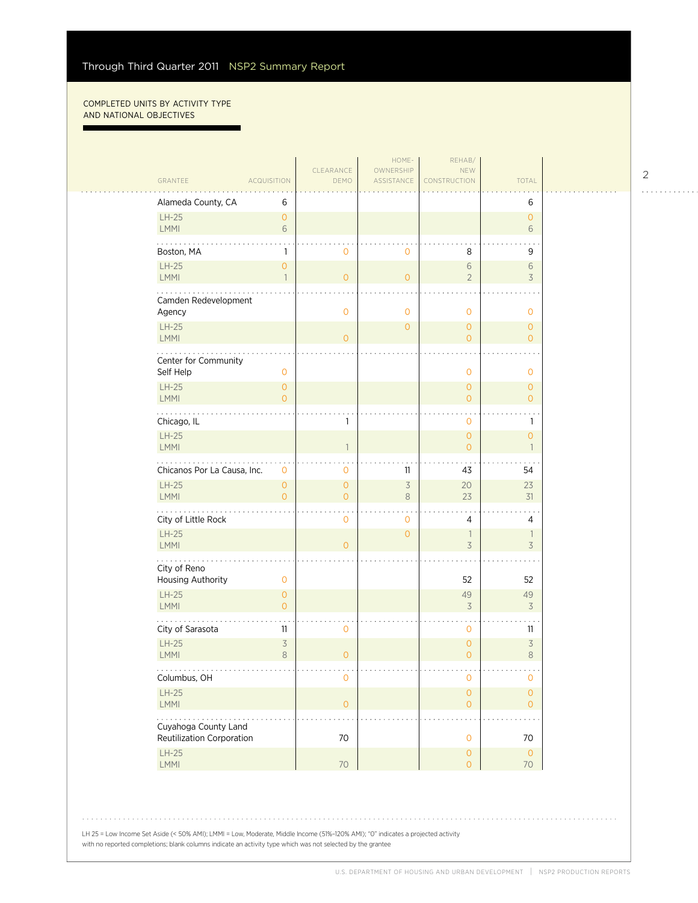#### Completed units by activity type and national objectives

п

|                                   |                                     | CLEARANCE                | HOME-<br>OWNERSHIP | REHAB/<br><b>NEW</b>                  |                                  |  |
|-----------------------------------|-------------------------------------|--------------------------|--------------------|---------------------------------------|----------------------------------|--|
| GRANTEE                           | <b>ACQUISITION</b>                  | DEMO                     | ASSISTANCE         | CONSTRUCTION                          | TOTAL                            |  |
| Alameda County, CA                | 6                                   |                          |                    |                                       | 6                                |  |
| $LH-25$<br>LMMI                   | $\mathbf{O}$                        |                          |                    |                                       | $\circ$<br>6                     |  |
|                                   | $6\,$                               |                          |                    |                                       |                                  |  |
| Boston, MA                        | 1                                   | 0                        | $\mathbf 0$        | 8                                     | 9                                |  |
| $LH-25$<br>LMMI                   | $\mathsf{O}\xspace$<br>$\mathbf{1}$ | $\overline{0}$           | $\overline{0}$     | 6<br>$\overline{2}$                   | 6<br>3                           |  |
| Camden Redevelopment              |                                     |                          |                    |                                       |                                  |  |
| Agency                            |                                     | $\mathbf{O}$             | $\mathbf{0}$       | $\mathbf 0$                           | $\mathbf{O}$                     |  |
| $LH-25$<br>LMMI                   |                                     | $\overline{O}$           | $\overline{0}$     | $\overline{0}$<br>0                   | $\circ$<br>$\overline{O}$        |  |
|                                   |                                     |                          |                    |                                       |                                  |  |
| Center for Community<br>Self Help | $\mathbf 0$                         |                          |                    | $\mathbf 0$                           | $\mathbf 0$                      |  |
| $LH-25$                           | $\mathbf{O}$                        |                          |                    | $\overline{O}$                        | $\overline{0}$                   |  |
| <b>LMMI</b>                       | $\overline{0}$                      |                          |                    | $\overline{O}$                        | $\overline{O}$                   |  |
| Chicago, IL                       |                                     | 1                        |                    | $\mathbf 0$                           | $\mathbf{1}$                     |  |
| $LH-25$<br><b>LMMI</b>            |                                     | $\mathbf{1}$             |                    | $\overline{O}$<br>$\overline{0}$      | $\overline{0}$<br>$\overline{1}$ |  |
| Chicanos Por La Causa, Inc.       |                                     |                          | 11                 | 43                                    | 54                               |  |
| $LH-25$                           | $\mathbf 0$<br>$\mathsf{O}\xspace$  | 0<br>$\mathsf{O}\xspace$ | $\overline{3}$     | 20                                    | 23                               |  |
| LMMI                              | $\mathbf{O}$                        | $\overline{O}$           | 8                  | 23                                    | 31                               |  |
| City of Little Rock               |                                     | 0                        | $\mathbf{0}$       | 4                                     | 4                                |  |
| $LH-25$                           |                                     |                          | $\overline{0}$     | 1                                     | $\overline{\phantom{a}}$         |  |
| LMMI<br>.                         |                                     | $\overline{O}$           |                    | $\overline{\mathcal{S}}$              | $\overline{3}$                   |  |
| City of Reno<br>Housing Authority | $\mathbf 0$                         |                          |                    | 52                                    | 52                               |  |
| $LH-25$                           | $\mathsf{O}\xspace$                 |                          |                    | 49                                    | 49                               |  |
| LMMI                              | $\circ$                             |                          |                    | 3                                     | $\overline{3}$                   |  |
| City of Sarasota                  | 11                                  | 0                        |                    | $\mathbf 0$                           | 11                               |  |
| $LH-25$<br>LMMI                   | $\overline{\mathcal{S}}$<br>8       | $\mathbf{O}$             |                    | $\mathbf 0$<br>$\overline{0}$         | $\overline{3}$<br>$\,8\,$        |  |
| .                                 |                                     |                          |                    |                                       | $\sim$ $\sim$                    |  |
| Columbus, OH<br>$LH-25$           |                                     | 0                        |                    | $\mathbf{O}$<br>$\mathsf{O}\xspace$   | $\mathbf{O}$<br>$\mathsf O$      |  |
| LMMI                              |                                     | $\mathsf{O}\xspace$      |                    | $\overline{O}$                        | $\overline{O}$                   |  |
| Cuyahoga County Land              |                                     |                          |                    |                                       |                                  |  |
| Reutilization Corporation         |                                     | $70\,$                   |                    | $\mathsf{O}\xspace$                   | $70\,$                           |  |
| $LH-25$<br>LMMI                   |                                     | $70\,$                   |                    | $\mathsf{O}\xspace$<br>$\overline{O}$ | $\circ$<br>70                    |  |
|                                   |                                     |                          |                    |                                       |                                  |  |

2

. . . . . . . . . . . .

LH 25 = Low Income Set Aside (< 50% AMI); LMMI = Low, Moderate, Middle Income (51%–120% AMI); "0" indicates a projected activity with no reported completions; blank columns indicate an activity type which was not selected by the grantee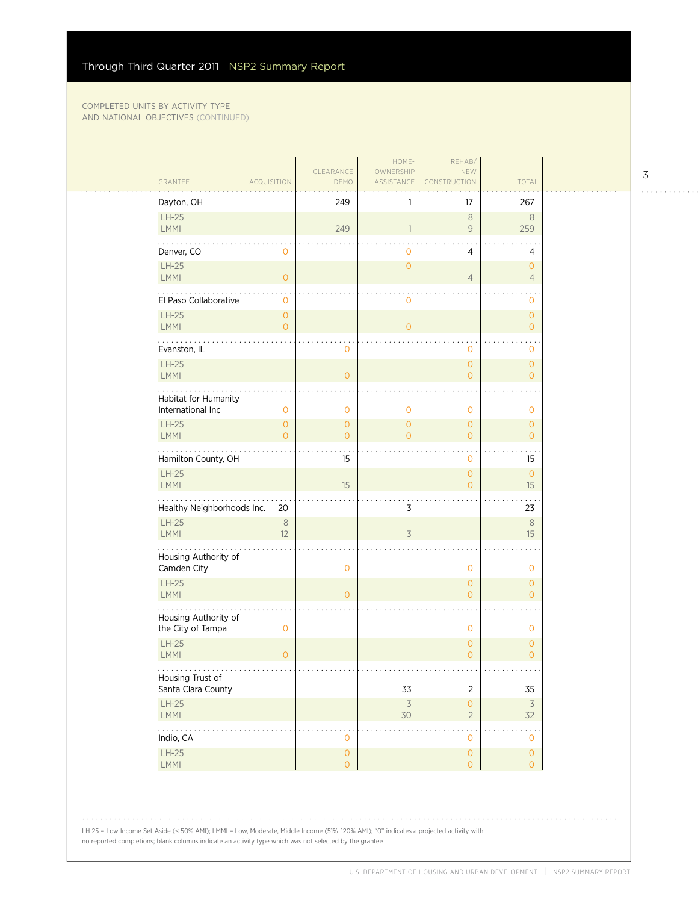|                               |                                | CLEARANCE                        | HOME-<br>OWNERSHIP       | REHAB/<br><b>NEW</b>           |                                  |  |
|-------------------------------|--------------------------------|----------------------------------|--------------------------|--------------------------------|----------------------------------|--|
| GRANTEE                       | <b>ACQUISITION</b>             | DEMO                             | <b>ASSISTANCE</b>        | CONSTRUCTION                   | <b>TOTAL</b>                     |  |
| Dayton, OH                    |                                | 249                              |                          | 17                             | 267                              |  |
| $LH-25$<br><b>LMMI</b>        |                                | 249                              | 1                        | $\,8\,$<br>$\overline{9}$      | $\,8\,$<br>259                   |  |
| Denver, CO                    | 0                              |                                  | 0                        | 4                              | 4                                |  |
| $LH-25$<br><b>LMMI</b>        | $\overline{O}$                 |                                  | $\mathbf{O}$             | $\overline{4}$                 | $\circ$<br>$\overline{4}$        |  |
| .<br>El Paso Collaborative    | $\mathbf{0}$                   |                                  | 0                        |                                | $\circ$                          |  |
| $LH-25$<br>LMMI               | $\mathbf{O}$<br>$\overline{O}$ |                                  | $\overline{O}$           |                                | $\circ$<br>$\overline{O}$        |  |
| Evanston, IL                  |                                | $\mathbf 0$                      |                          | $\mathbf 0$                    | 0                                |  |
| $LH-25$<br><b>LMMI</b>        |                                | $\circ$                          |                          | $\circ$<br>$\mathbf{O}$        | $\overline{O}$<br>$\overline{O}$ |  |
| Habitat for Humanity          |                                |                                  |                          |                                |                                  |  |
| International Inc             | $\mathbf{0}$                   | $\mathbf 0$                      | $\mathbf{0}$             | $\mathbf 0$                    | $\mathbf 0$                      |  |
| $LH-25$<br><b>LMMI</b>        | $\mathbf{O}$<br>$\Omega$       | $\circ$<br>$\overline{O}$        | $\mathbf{O}$<br>$\Omega$ | $\circ$<br>$\overline{O}$      | $\circ$<br>$\overline{0}$        |  |
| Hamilton County, OH           |                                | 15                               |                          | $\mathbf 0$                    | 15                               |  |
| $LH-25$<br><b>LMMI</b>        |                                | 15                               |                          | $\circ$<br>$\overline{O}$      | $\circ$<br>15                    |  |
| Healthy Neighborhoods Inc.    | 20                             |                                  | 3                        |                                | 23                               |  |
| $LH-25$<br><b>LMMI</b>        | $\,8\,$<br>12                  |                                  | $\overline{3}$           |                                | $\,8\,$<br>15                    |  |
| Housing Authority of          |                                |                                  |                          |                                |                                  |  |
| Camden City                   |                                | $\mathbf 0$                      |                          | $\mathbf 0$                    | $\mathbf 0$                      |  |
| $LH-25$<br><b>LMMI</b>        |                                | $\circ$                          |                          | $\mathbf{O}$<br>$\mathbf{O}$   | $\overline{O}$<br>$\circ$        |  |
| Housing Authority of          |                                |                                  |                          |                                |                                  |  |
| the City of Tampa             | $\mathbf 0$                    |                                  |                          | $\mathbf 0$                    | $\mathbf 0$                      |  |
| $LH-25$<br>LMMI               | $\overline{O}$                 |                                  |                          | $\mathbf{O}$<br>$\overline{O}$ | $\mathbf{O}$<br>$\overline{O}$   |  |
| Housing Trust of              |                                |                                  |                          |                                |                                  |  |
| Santa Clara County<br>$LH-25$ |                                |                                  | 33                       | $\overline{2}$<br>$\circ$      | 35<br>$\overline{3}$             |  |
| <b>LMMI</b>                   |                                |                                  | $\overline{3}$<br>30     | $\overline{2}$                 | 32                               |  |
| .<br>Indio, CA                |                                | $\mathbf 0$                      |                          | $\mathbf{O}$                   | $\mathbf{O}$                     |  |
| $LH-25$<br>LMMI               |                                | $\mathsf{O}\xspace$<br>$\bullet$ |                          | $\mathsf{O}\xspace$<br>$\circ$ | $\mathsf O$<br>$\overline{0}$    |  |

LH 25 = Low Income Set Aside (< 50% AMI); LMMI = Low, Moderate, Middle Income (51%–120% AMI); "0" indicates a projected activity with no reported completions; blank columns indicate an activity type which was not selected by the grantee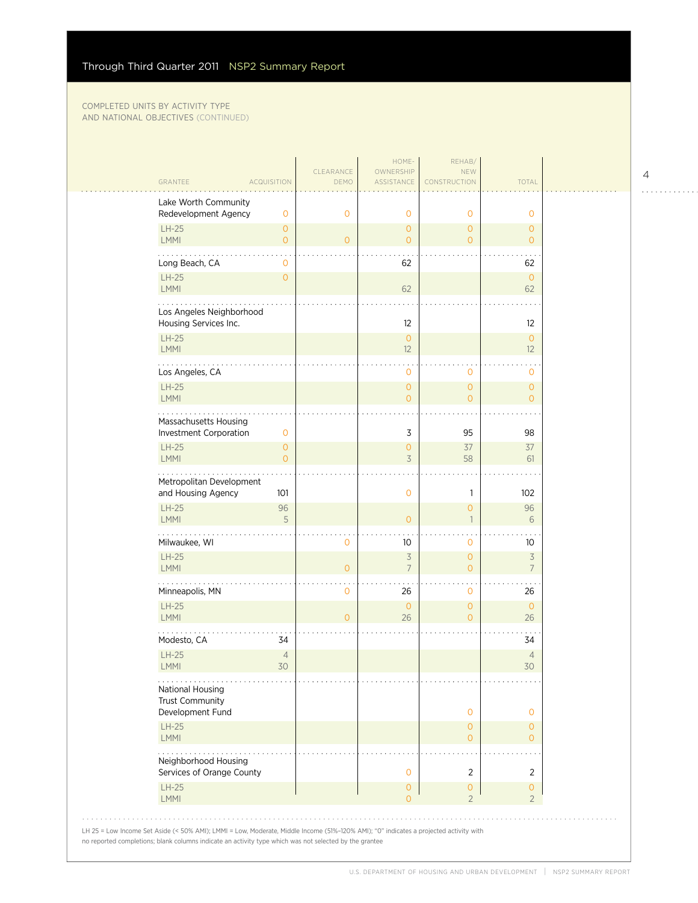| GRANTEE<br><b>ACQUISITION</b>                                | CLEARANCE<br>DEMO | OWNERSHIP<br>ASSISTANCE          | <b>NEW</b><br>CONSTRUCTION            | TOTAL                            |  |
|--------------------------------------------------------------|-------------------|----------------------------------|---------------------------------------|----------------------------------|--|
| Lake Worth Community<br>Redevelopment Agency<br>0            | $\circ$           | $\mathbf 0$                      | $\mathbf{0}$                          | $\mathbf{0}$                     |  |
| $LH-25$<br>$\overline{O}$<br>LMMI<br>$\overline{O}$          | $\overline{O}$    | $\mathbf{O}$<br>$\mathbf{O}$     | $\overline{0}$<br>$\overline{0}$      | $\overline{0}$<br>$\overline{0}$ |  |
| Long Beach, CA<br>$\circ$                                    |                   | 62                               |                                       | 62                               |  |
| $LH-25$<br>$\mathbf{O}$<br>LMMI                              |                   | 62                               |                                       | $\mathbf{0}$<br>62               |  |
| Los Angeles Neighborhood<br>Housing Services Inc.            |                   | 12                               |                                       | 12                               |  |
| $LH-25$<br>LMMI                                              |                   | $\mathbf{O}$<br>12               |                                       | $\overline{O}$<br>12             |  |
| Los Angeles, CA                                              |                   | $\mathbf{0}$                     | $\mathbf 0$                           | $\mathbf 0$                      |  |
| $LH-25$<br>LMMI                                              |                   | 0<br>$\mathbf{O}$                | $\mathbf{O}$<br>$\overline{0}$        | $\circ$<br>$\overline{O}$        |  |
| Massachusetts Housing<br>Investment Corporation<br>0         |                   | 3                                | 95                                    | 98                               |  |
| $LH-25$<br>$\overline{0}$<br>LMMI<br>$\overline{O}$          |                   | 0<br>$\overline{3}$              | 37<br>58                              | 37<br>61                         |  |
| Metropolitan Development<br>and Housing Agency<br>101        |                   | $\circ$                          | $\mathbf{1}$                          | 102                              |  |
| $LH-25$<br>96<br>5<br>LMMI                                   |                   | $\Omega$                         | $\overline{0}$<br>$\mathbf{1}$        | 96<br>6                          |  |
| Milwaukee, WI                                                | Ο                 | 10                               | $\mathbf{0}$                          | 10                               |  |
| $LH-25$<br><b>LMMI</b>                                       | $\overline{0}$    | $\overline{3}$<br>$\overline{7}$ | $\mathbf{O}$<br>$\overline{0}$        | $\overline{3}$<br>$\overline{7}$ |  |
| Minneapolis, MN                                              | 0                 | 26                               | $\mathbf 0$                           | 26                               |  |
| $LH-25$<br>LMMI                                              | $\overline{O}$    | $\circ$<br>26                    | $\mathbf{O}$<br>$\overline{0}$        | $\mathbf{0}$<br>26               |  |
| Modesto, CA<br>34                                            |                   |                                  |                                       | 34                               |  |
| $LH-25$<br>$\overline{4}$<br>LMMI<br>30                      |                   |                                  |                                       | $\overline{4}$<br>30             |  |
| .<br>National Housing<br>Trust Community<br>Development Fund |                   |                                  | $\mathbf 0$                           | 0                                |  |
| $LH-25$<br>LMMI                                              |                   |                                  | $\mathbf{O}$<br>$\overline{0}$        | $\circ$<br>$\Omega$              |  |
| Neighborhood Housing<br>Services of Orange County            |                   | $\mathbf 0$                      | 2                                     | 2                                |  |
| $LH-25$<br>LMMI                                              |                   | 0<br>$\Omega$                    | $\mathsf{O}\xspace$<br>$\overline{2}$ | 0<br>$\overline{2}$              |  |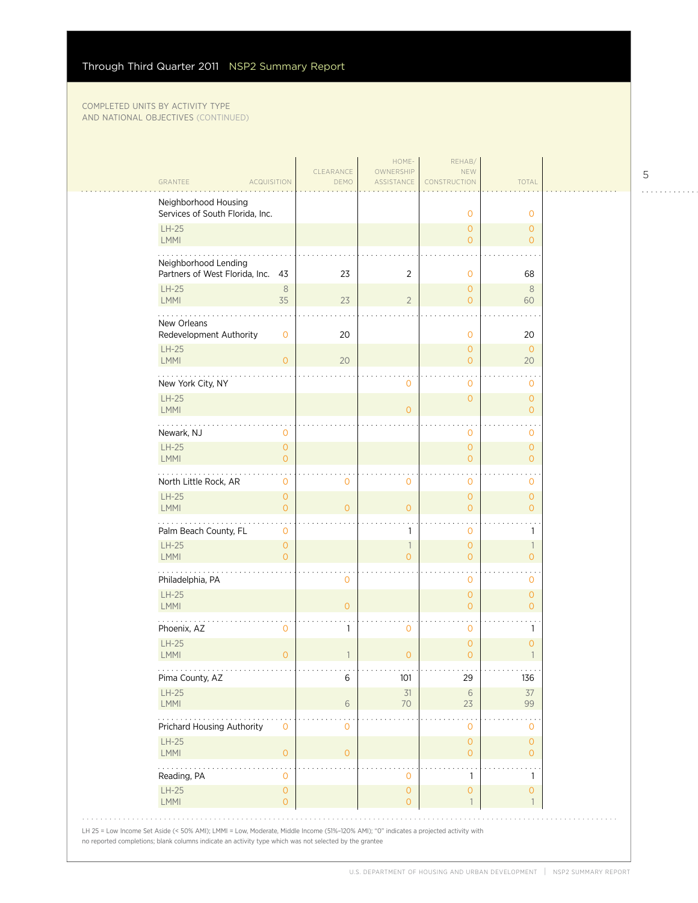| GRANTEE<br><b>ACQUISITION</b>                             |                                       | CLEARANCE<br>DEMO | HOME-<br>OWNERSHIP<br>ASSISTANCE | REHAB/<br><b>NEW</b><br>CONSTRUCTION | <b>TOTAL</b>                         |  |
|-----------------------------------------------------------|---------------------------------------|-------------------|----------------------------------|--------------------------------------|--------------------------------------|--|
| Neighborhood Housing                                      |                                       |                   |                                  |                                      |                                      |  |
| Services of South Florida, Inc.                           |                                       |                   |                                  | $\mathbf{O}$                         | $\mathbf{O}$                         |  |
| $LH-25$<br>LMMI                                           |                                       |                   |                                  | 0<br>$\overline{0}$                  | $\overline{O}$<br>$\overline{O}$     |  |
| Neighborhood Lending<br>Partners of West Florida, Inc. 43 |                                       | 23                | 2                                | 0                                    | 68                                   |  |
| $LH-25$<br>LMMI                                           | $\,8\,$<br>35                         | 23                | $\overline{2}$                   | 0<br>$\Omega$                        | 8<br>60                              |  |
| .                                                         |                                       |                   |                                  |                                      |                                      |  |
| New Orleans<br>Redevelopment Authority                    | $\mathbf 0$                           | 20                |                                  | 0                                    | 20                                   |  |
| $LH-25$<br>LMMI                                           | $\overline{0}$                        | 20                |                                  | 0<br>$\overline{0}$                  | $\mathbf{O}$<br>20                   |  |
| New York City, NY                                         |                                       |                   | $\mathbf 0$                      | $\mathbf 0$                          | 0                                    |  |
| $LH-25$<br>LMMI                                           |                                       |                   | $\Omega$                         | $\overline{0}$                       | $\circ$<br>$\Omega$                  |  |
| .<br>Newark, NJ                                           | $\circ$                               |                   |                                  | 0                                    | 0                                    |  |
| $LH-25$<br><b>LMMI</b>                                    | $\mathbf{O}$<br>$\overline{O}$        |                   |                                  | $\overline{0}$<br>$\Omega$           | $\overline{O}$<br>$\overline{O}$     |  |
| North Little Rock, AR                                     | 0                                     | $\mathbf 0$       | $\mathbf{0}$                     | 0                                    | 0                                    |  |
| $LH-25$<br>LMMI                                           | $\mathbf{O}$<br>$\overline{O}$        | $\overline{0}$    | $\overline{0}$                   | $\overline{0}$<br>$\Omega$           | $\overline{O}$<br>$\overline{O}$     |  |
| Palm Beach County, FL                                     | $\mathbf 0$                           |                   | 1                                | 0                                    | $\mathbf{1}$                         |  |
| $LH-25$<br><b>LMMI</b>                                    | $\mathbf{O}$<br>$\Omega$              |                   | $\mathbf{1}$<br>$\Omega$         | $\overline{0}$<br>$\Omega$           | $\overline{\phantom{a}}$<br>$\Omega$ |  |
| Philadelphia, PA                                          |                                       | $\circ$           |                                  | 0                                    | 0                                    |  |
| $LH-25$<br>LMMI                                           |                                       | $\mathbf{O}$      |                                  | $\overline{0}$<br>$\overline{0}$     | $\overline{O}$<br>$\overline{0}$     |  |
| Phoenix, AZ                                               | 0                                     | 1                 | $\mathbf 0$                      | 0                                    | $\mathbf{1}$                         |  |
| $LH-25$<br>LMMI                                           | $\mathbf{O}$                          | 1                 | $\mathbf{O}$                     | $\mathbf 0$<br>$\overline{0}$        | $\mathsf{O}\xspace$<br>$\mathbf{1}$  |  |
| .<br>Pima County, AZ                                      |                                       | 6                 | 101                              | 29                                   | .<br>136                             |  |
| $LH-25$<br>LMMI                                           |                                       | 6                 | 31<br>70                         | 6<br>23                              | 37<br>99                             |  |
| .<br>Prichard Housing Authority                           | $\mathbf{O}$                          | $\circ$           |                                  | 0                                    | 0                                    |  |
| $LH-25$<br>LMMI                                           | $\overline{O}$                        | $\circ$           |                                  | 0<br>$\overline{0}$                  | $\circ$<br>$\overline{O}$            |  |
| Reading, PA                                               | 0                                     |                   | 0                                | 1                                    | 1                                    |  |
| $LH-25$<br>LMMI                                           | $\mathsf{O}\xspace$<br>$\overline{O}$ |                   | $\mathbf 0$<br>$\overline{O}$    | 0                                    | 0                                    |  |